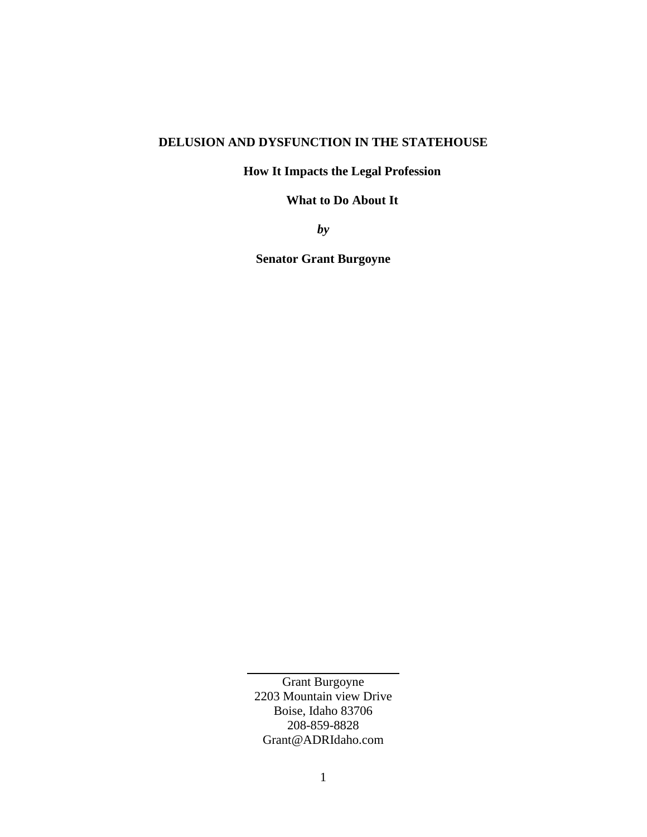## **DELUSION AND DYSFUNCTION IN THE STATEHOUSE**

## **How It Impacts the Legal Profession**

## **What to Do About It**

*by* 

**Senator Grant Burgoyne**

Grant Burgoyne 2203 Mountain view Drive Boise, Idaho 83706 208-859-8828 Grant@ADRIdaho.com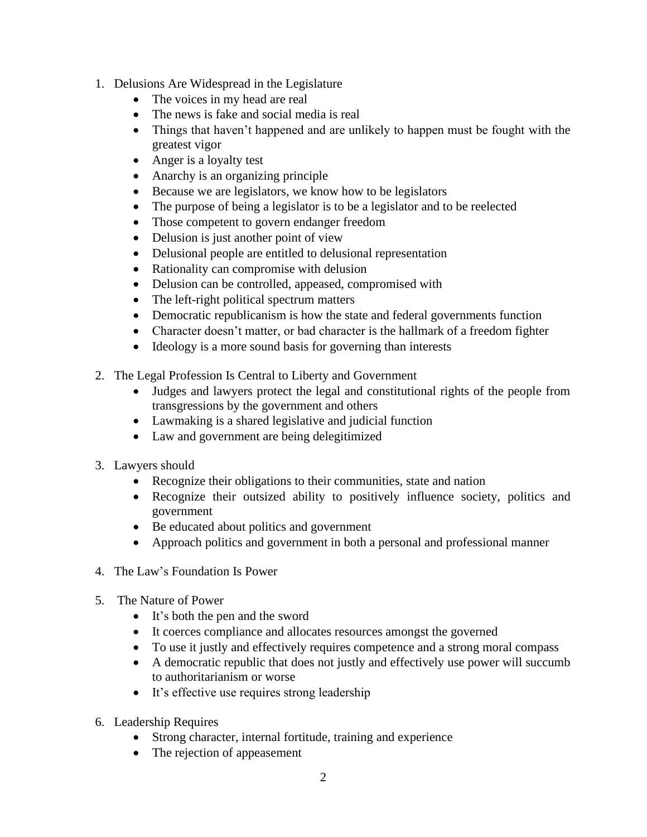- 1. Delusions Are Widespread in the Legislature
	- The voices in my head are real
	- The news is fake and social media is real
	- Things that haven't happened and are unlikely to happen must be fought with the greatest vigor
	- Anger is a loyalty test
	- Anarchy is an organizing principle
	- Because we are legislators, we know how to be legislators
	- The purpose of being a legislator is to be a legislator and to be reelected
	- Those competent to govern endanger freedom
	- Delusion is just another point of view
	- Delusional people are entitled to delusional representation
	- Rationality can compromise with delusion
	- Delusion can be controlled, appeased, compromised with
	- The left-right political spectrum matters
	- Democratic republicanism is how the state and federal governments function
	- Character doesn't matter, or bad character is the hallmark of a freedom fighter
	- Ideology is a more sound basis for governing than interests
- 2. The Legal Profession Is Central to Liberty and Government
	- Judges and lawyers protect the legal and constitutional rights of the people from transgressions by the government and others
	- Lawmaking is a shared legislative and judicial function
	- Law and government are being delegitimized
- 3. Lawyers should
	- Recognize their obligations to their communities, state and nation
	- Recognize their outsized ability to positively influence society, politics and government
	- Be educated about politics and government
	- Approach politics and government in both a personal and professional manner
- 4. The Law's Foundation Is Power
- 5. The Nature of Power
	- It's both the pen and the sword
	- It coerces compliance and allocates resources amongst the governed
	- To use it justly and effectively requires competence and a strong moral compass
	- A democratic republic that does not justly and effectively use power will succumb to authoritarianism or worse
	- It's effective use requires strong leadership
- 6. Leadership Requires
	- Strong character, internal fortitude, training and experience
	- The rejection of appeasement